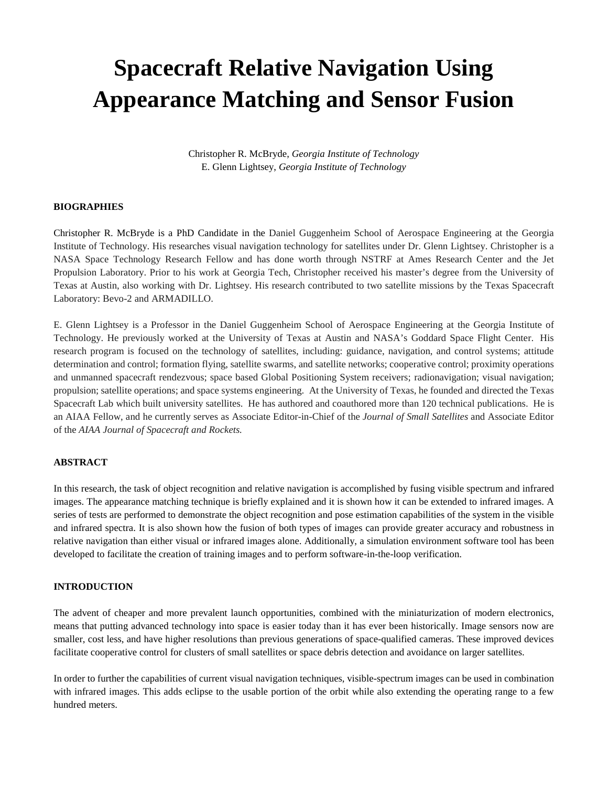# **Spacecraft Relative Navigation Using Appearance Matching and Sensor Fusion**

Christopher R. McBryde, *Georgia Institute of Technology* E. Glenn Lightsey, *Georgia Institute of Technology*

## **BIOGRAPHIES**

Christopher R. McBryde is a PhD Candidate in the Daniel Guggenheim School of Aerospace Engineering at the Georgia Institute of Technology. His researches visual navigation technology for satellites under Dr. Glenn Lightsey. Christopher is a NASA Space Technology Research Fellow and has done worth through NSTRF at Ames Research Center and the Jet Propulsion Laboratory. Prior to his work at Georgia Tech, Christopher received his master's degree from the University of Texas at Austin, also working with Dr. Lightsey. His research contributed to two satellite missions by the Texas Spacecraft Laboratory: Bevo-2 and ARMADILLO.

E. Glenn Lightsey is a Professor in the Daniel Guggenheim School of Aerospace Engineering at the Georgia Institute of Technology. He previously worked at the University of Texas at Austin and NASA's Goddard Space Flight Center. His research program is focused on the technology of satellites, including: guidance, navigation, and control systems; attitude determination and control; formation flying, satellite swarms, and satellite networks; cooperative control; proximity operations and unmanned spacecraft rendezvous; space based Global Positioning System receivers; radionavigation; visual navigation; propulsion; satellite operations; and space systems engineering. At the University of Texas, he founded and directed the Texas Spacecraft Lab which built university satellites. He has authored and coauthored more than 120 technical publications. He is an AIAA Fellow, and he currently serves as Associate Editor-in-Chief of the *Journal of Small Satellites* and Associate Editor of the *AIAA Journal of Spacecraft and Rockets.*

## **ABSTRACT**

In this research, the task of object recognition and relative navigation is accomplished by fusing visible spectrum and infrared images. The appearance matching technique is briefly explained and it is shown how it can be extended to infrared images. A series of tests are performed to demonstrate the object recognition and pose estimation capabilities of the system in the visible and infrared spectra. It is also shown how the fusion of both types of images can provide greater accuracy and robustness in relative navigation than either visual or infrared images alone. Additionally, a simulation environment software tool has been developed to facilitate the creation of training images and to perform software-in-the-loop verification.

## **INTRODUCTION**

The advent of cheaper and more prevalent launch opportunities, combined with the miniaturization of modern electronics, means that putting advanced technology into space is easier today than it has ever been historically. Image sensors now are smaller, cost less, and have higher resolutions than previous generations of space-qualified cameras. These improved devices facilitate cooperative control for clusters of small satellites or space debris detection and avoidance on larger satellites.

In order to further the capabilities of current visual navigation techniques, visible-spectrum images can be used in combination with infrared images. This adds eclipse to the usable portion of the orbit while also extending the operating range to a few hundred meters.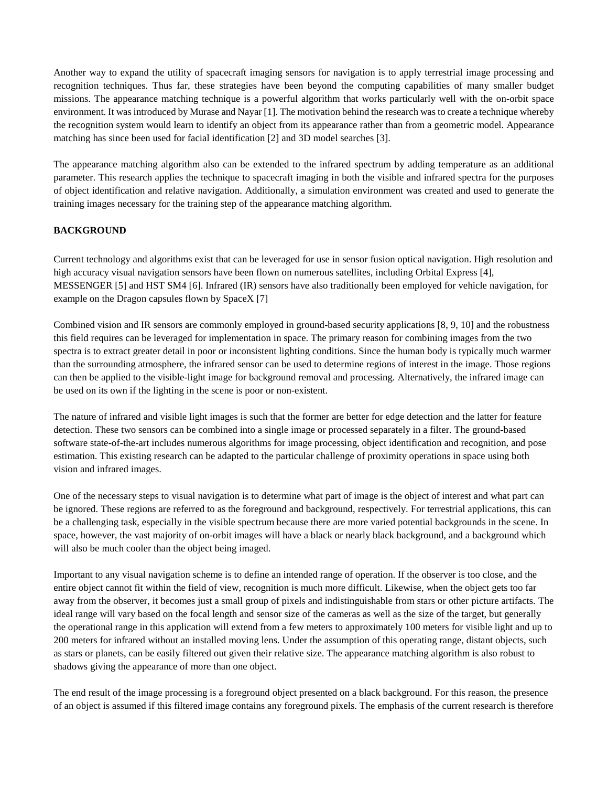Another way to expand the utility of spacecraft imaging sensors for navigation is to apply terrestrial image processing and recognition techniques. Thus far, these strategies have been beyond the computing capabilities of many smaller budget missions. The appearance matching technique is a powerful algorithm that works particularly well with the on-orbit space environment. It was introduced by Murase and Nayar [1]. The motivation behind the research was to create a technique whereby the recognition system would learn to identify an object from its appearance rather than from a geometric model. Appearance matching has since been used for facial identification [2] and 3D model searches [3].

The appearance matching algorithm also can be extended to the infrared spectrum by adding temperature as an additional parameter. This research applies the technique to spacecraft imaging in both the visible and infrared spectra for the purposes of object identification and relative navigation. Additionally, a simulation environment was created and used to generate the training images necessary for the training step of the appearance matching algorithm.

# **BACKGROUND**

Current technology and algorithms exist that can be leveraged for use in sensor fusion optical navigation. High resolution and high accuracy visual navigation sensors have been flown on numerous satellites, including Orbital Express [4], MESSENGER [5] and HST SM4 [6]. Infrared (IR) sensors have also traditionally been employed for vehicle navigation, for example on the Dragon capsules flown by SpaceX [7]

Combined vision and IR sensors are commonly employed in ground-based security applications [8, 9, 10] and the robustness this field requires can be leveraged for implementation in space. The primary reason for combining images from the two spectra is to extract greater detail in poor or inconsistent lighting conditions. Since the human body is typically much warmer than the surrounding atmosphere, the infrared sensor can be used to determine regions of interest in the image. Those regions can then be applied to the visible-light image for background removal and processing. Alternatively, the infrared image can be used on its own if the lighting in the scene is poor or non-existent.

The nature of infrared and visible light images is such that the former are better for edge detection and the latter for feature detection. These two sensors can be combined into a single image or processed separately in a filter. The ground-based software state-of-the-art includes numerous algorithms for image processing, object identification and recognition, and pose estimation. This existing research can be adapted to the particular challenge of proximity operations in space using both vision and infrared images.

One of the necessary steps to visual navigation is to determine what part of image is the object of interest and what part can be ignored. These regions are referred to as the foreground and background, respectively. For terrestrial applications, this can be a challenging task, especially in the visible spectrum because there are more varied potential backgrounds in the scene. In space, however, the vast majority of on-orbit images will have a black or nearly black background, and a background which will also be much cooler than the object being imaged.

Important to any visual navigation scheme is to define an intended range of operation. If the observer is too close, and the entire object cannot fit within the field of view, recognition is much more difficult. Likewise, when the object gets too far away from the observer, it becomes just a small group of pixels and indistinguishable from stars or other picture artifacts. The ideal range will vary based on the focal length and sensor size of the cameras as well as the size of the target, but generally the operational range in this application will extend from a few meters to approximately 100 meters for visible light and up to 200 meters for infrared without an installed moving lens. Under the assumption of this operating range, distant objects, such as stars or planets, can be easily filtered out given their relative size. The appearance matching algorithm is also robust to shadows giving the appearance of more than one object.

The end result of the image processing is a foreground object presented on a black background. For this reason, the presence of an object is assumed if this filtered image contains any foreground pixels. The emphasis of the current research is therefore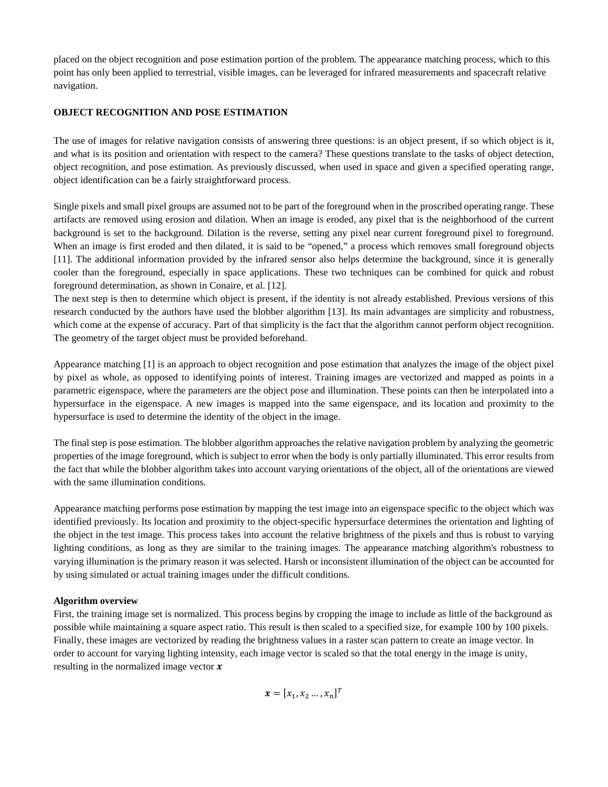placed on the object recognition and pose estimation portion of the problem. The appearance matching process, which to this point has only been applied to terrestrial, visible images, can be leveraged for infrared measurements and spacecraft relative navigation.

## **OBJECT RECOGNITION AND POSE ESTIMATION**

The use of images for relative navigation consists of answering three questions: is an object present, if so which object is it, and what is its position and orientation with respect to the camera? These questions translate to the tasks of object detection, object recognition, and pose estimation. As previously discussed, when used in space and given a specified operating range, object identification can be a fairly straightforward process.

Single pixels and small pixel groups are assumed not to be part of the foreground when in the proscribed operating range. These artifacts are removed using erosion and dilation. When an image is eroded, any pixel that is the neighborhood of the current background is set to the background. Dilation is the reverse, setting any pixel near current foreground pixel to foreground. When an image is first eroded and then dilated, it is said to be "opened," a process which removes small foreground objects [11]. The additional information provided by the infrared sensor also helps determine the background, since it is generally cooler than the foreground, especially in space applications. These two techniques can be combined for quick and robust foreground determination, as shown in Conaire, et al. [12].

The next step is then to determine which object is present, if the identity is not already established. Previous versions of this research conducted by the authors have used the blobber algorithm [13]. Its main advantages are simplicity and robustness, which come at the expense of accuracy. Part of that simplicity is the fact that the algorithm cannot perform object recognition. The geometry of the target object must be provided beforehand.

Appearance matching [1] is an approach to object recognition and pose estimation that analyzes the image of the object pixel by pixel as whole, as opposed to identifying points of interest. Training images are vectorized and mapped as points in a parametric eigenspace, where the parameters are the object pose and illumination. These points can then be interpolated into a hypersurface in the eigenspace. A new images is mapped into the same eigenspace, and its location and proximity to the hypersurface is used to determine the identity of the object in the image.

The final step is pose estimation. The blobber algorithm approaches the relative navigation problem by analyzing the geometric properties of the image foreground, which is subject to error when the body is only partially illuminated. This error results from the fact that while the blobber algorithm takes into account varying orientations of the object, all of the orientations are viewed with the same illumination conditions.

Appearance matching performs pose estimation by mapping the test image into an eigenspace specific to the object which was identified previously. Its location and proximity to the object-specific hypersurface determines the orientation and lighting of the object in the test image. This process takes into account the relative brightness of the pixels and thus is robust to varying lighting conditions, as long as they are similar to the training images. The appearance matching algorithm's robustness to varying illumination is the primary reason it was selected. Harsh or inconsistent illumination of the object can be accounted for by using simulated or actual training images under the difficult conditions.

# **Algorithm overview**

First, the training image set is normalized. This process begins by cropping the image to include as little of the background as possible while maintaining a square aspect ratio. This result is then scaled to a specified size, for example 100 by 100 pixels. Finally, these images are vectorized by reading the brightness values in a raster scan pattern to create an image vector. In order to account for varying lighting intensity, each image vector is scaled so that the total energy in the image is unity, resulting in the normalized image vector  $x$ 

$$
\boldsymbol{x} = [x_1, x_2 \dots, x_n]^T
$$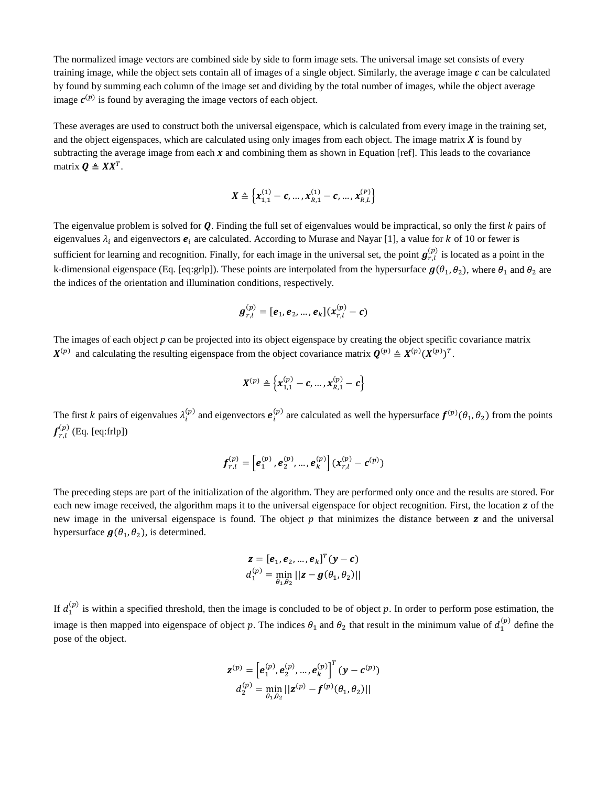The normalized image vectors are combined side by side to form image sets. The universal image set consists of every training image, while the object sets contain all of images of a single object. Similarly, the average image  $c$  can be calculated by found by summing each column of the image set and dividing by the total number of images, while the object average image  $c^{(p)}$  is found by averaging the image vectors of each object.

These averages are used to construct both the universal eigenspace, which is calculated from every image in the training set, and the object eigenspaces, which are calculated using only images from each object. The image matrix  $\bm{X}$  is found by subtracting the average image from each  $x$  and combining them as shown in Equation [ref]. This leads to the covariance matrix  $\mathbf{Q} \triangleq \mathbf{X} \mathbf{X}^T$ .

$$
\pmb{X} \triangleq \left\{\pmb{x}_{1,1}^{(1)}-\pmb{c},\dots,\pmb{x}_{R,1}^{(1)}-\pmb{c},\dots,\pmb{x}_{R,L}^{(P)}\right\}
$$

The eigenvalue problem is solved for  $Q$ . Finding the full set of eigenvalues would be impractical, so only the first  $k$  pairs of eigenvalues  $\lambda_i$  and eigenvectors  $e_i$  are calculated. According to Murase and Nayar [1], a value for k of 10 or fewer is sufficient for learning and recognition. Finally, for each image in the universal set, the point  $g_{r,l}^{(p)}$  is located as a point in the k-dimensional eigenspace (Eq. [eq:grlp]). These points are interpolated from the hypersurface  $g(\theta_1, \theta_2)$ , where  $\theta_1$  and  $\theta_2$  are the indices of the orientation and illumination conditions, respectively.

$$
\boldsymbol{g}_{r,l}^{(p)} = [\boldsymbol{e}_1, \boldsymbol{e}_2, ..., \boldsymbol{e}_k](\boldsymbol{x}_{r,l}^{(p)} - \boldsymbol{c})
$$

The images of each object *p* can be projected into its object eigenspace by creating the object specific covariance matrix  $X^{(p)}$  and calculating the resulting eigenspace from the object covariance matrix  $Q^{(p)} \triangleq X^{(p)} (X^{(p)})^T$ .

$$
X^{(p)} \triangleq \left\{ X^{(p)}_{1,1} - c, ..., X^{(p)}_{R,1} - c \right\}
$$

The first k pairs of eigenvalues  $\lambda_i^{(p)}$  and eigenvectors  $e_i^{(p)}$  are calculated as well the hypersurface  $f^{(p)}(\theta_1, \theta_2)$  from the points  $f_{r,l}^{(p)}$  (Eq. [eq:frlp])

$$
\boldsymbol{f}_{r,l}^{(p)} = \left[\boldsymbol{e}_1^{(p)}, \boldsymbol{e}_2^{(p)}, ..., \boldsymbol{e}_k^{(p)}\right] (\boldsymbol{x}_{r,l}^{(p)} - \boldsymbol{c}^{(p)})
$$

The preceding steps are part of the initialization of the algorithm. They are performed only once and the results are stored. For each new image received, the algorithm maps it to the universal eigenspace for object recognition. First, the location **z** of the new image in the universal eigenspace is found. The object  $p$  that minimizes the distance between  $z$  and the universal hypersurface  $g(\theta_1, \theta_2)$ , is determined.

$$
\mathbf{z} = [\boldsymbol{e}_1, \boldsymbol{e}_2, \dots, \boldsymbol{e}_k]^T (\mathbf{y} - \mathbf{c})
$$
  

$$
d_1^{(p)} = \min_{\theta_1, \theta_2} ||\mathbf{z} - \boldsymbol{g}(\theta_1, \theta_2)||
$$

If  $d_1^{(p)}$  is within a specified threshold, then the image is concluded to be of object p. In order to perform pose estimation, the image is then mapped into eigenspace of object p. The indices  $\theta_1$  and  $\theta_2$  that result in the minimum value of  $d_1^{(p)}$  define the pose of the object.

$$
\mathbf{z}^{(p)} = \left[\mathbf{e}_1^{(p)}, \mathbf{e}_2^{(p)}, \dots, \mathbf{e}_k^{(p)}\right]^T (\mathbf{y} - \mathbf{c}^{(p)})
$$

$$
d_2^{(p)} = \min_{\theta_1, \theta_2} ||\mathbf{z}^{(p)} - \mathbf{f}^{(p)}(\theta_1, \theta_2)||
$$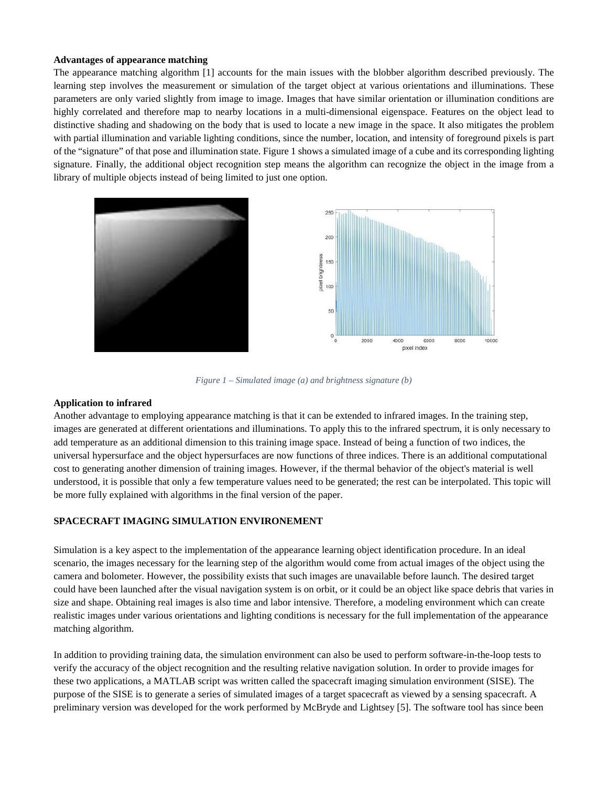## **Advantages of appearance matching**

The appearance matching algorithm [1] accounts for the main issues with the blobber algorithm described previously. The learning step involves the measurement or simulation of the target object at various orientations and illuminations. These parameters are only varied slightly from image to image. Images that have similar orientation or illumination conditions are highly correlated and therefore map to nearby locations in a multi-dimensional eigenspace. Features on the object lead to distinctive shading and shadowing on the body that is used to locate a new image in the space. It also mitigates the problem with partial illumination and variable lighting conditions, since the number, location, and intensity of foreground pixels is part of the "signature" of that pose and illumination state. [Figure 1](#page-4-0) shows a simulated image of a cube and its corresponding lighting signature. Finally, the additional object recognition step means the algorithm can recognize the object in the image from a library of multiple objects instead of being limited to just one option.



*Figure 1 – Simulated image (a) and brightness signature (b)*

## <span id="page-4-0"></span>**Application to infrared**

Another advantage to employing appearance matching is that it can be extended to infrared images. In the training step, images are generated at different orientations and illuminations. To apply this to the infrared spectrum, it is only necessary to add temperature as an additional dimension to this training image space. Instead of being a function of two indices, the universal hypersurface and the object hypersurfaces are now functions of three indices. There is an additional computational cost to generating another dimension of training images. However, if the thermal behavior of the object's material is well understood, it is possible that only a few temperature values need to be generated; the rest can be interpolated. This topic will be more fully explained with algorithms in the final version of the paper.

# **SPACECRAFT IMAGING SIMULATION ENVIRONEMENT**

Simulation is a key aspect to the implementation of the appearance learning object identification procedure. In an ideal scenario, the images necessary for the learning step of the algorithm would come from actual images of the object using the camera and bolometer. However, the possibility exists that such images are unavailable before launch. The desired target could have been launched after the visual navigation system is on orbit, or it could be an object like space debris that varies in size and shape. Obtaining real images is also time and labor intensive. Therefore, a modeling environment which can create realistic images under various orientations and lighting conditions is necessary for the full implementation of the appearance matching algorithm.

In addition to providing training data, the simulation environment can also be used to perform software-in-the-loop tests to verify the accuracy of the object recognition and the resulting relative navigation solution. In order to provide images for these two applications, a MATLAB script was written called the spacecraft imaging simulation environment (SISE). The purpose of the SISE is to generate a series of simulated images of a target spacecraft as viewed by a sensing spacecraft. A preliminary version was developed for the work performed by McBryde and Lightsey [5]. The software tool has since been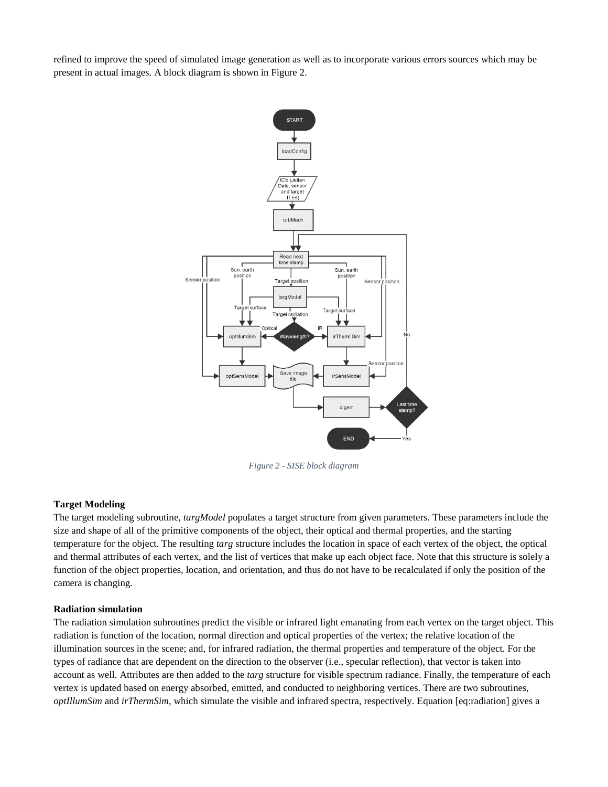refined to improve the speed of simulated image generation as well as to incorporate various errors sources which may be present in actual images. A block diagram is shown in [Figure 2.](#page-5-0)



*Figure 2 - SISE block diagram*

## <span id="page-5-0"></span>**Target Modeling**

The target modeling subroutine, *targModel* populates a target structure from given parameters. These parameters include the size and shape of all of the primitive components of the object, their optical and thermal properties, and the starting temperature for the object. The resulting *targ* structure includes the location in space of each vertex of the object, the optical and thermal attributes of each vertex, and the list of vertices that make up each object face. Note that this structure is solely a function of the object properties, location, and orientation, and thus do not have to be recalculated if only the position of the camera is changing.

## **Radiation simulation**

The radiation simulation subroutines predict the visible or infrared light emanating from each vertex on the target object. This radiation is function of the location, normal direction and optical properties of the vertex; the relative location of the illumination sources in the scene; and, for infrared radiation, the thermal properties and temperature of the object. For the types of radiance that are dependent on the direction to the observer (i.e., specular reflection), that vector is taken into account as well. Attributes are then added to the *targ* structure for visible spectrum radiance. Finally, the temperature of each vertex is updated based on energy absorbed, emitted, and conducted to neighboring vertices. There are two subroutines, *optIllumSim* and *irThermSim*, which simulate the visible and infrared spectra, respectively. Equation [eq:radiation] gives a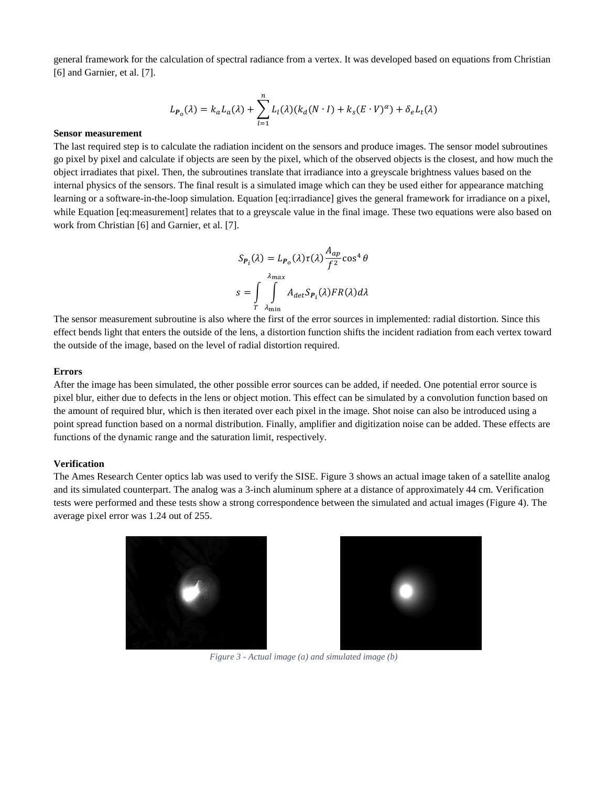general framework for the calculation of spectral radiance from a vertex. It was developed based on equations from Christian [6] and Garnier, et al. [7].

$$
L_{P_o}(\lambda) = k_a L_a(\lambda) + \sum_{l=1}^n L_l(\lambda) (k_d(N \cdot l) + k_s (E \cdot V)^\alpha) + \delta_e L_t(\lambda)
$$

#### **Sensor measurement**

The last required step is to calculate the radiation incident on the sensors and produce images. The sensor model subroutines go pixel by pixel and calculate if objects are seen by the pixel, which of the observed objects is the closest, and how much the object irradiates that pixel. Then, the subroutines translate that irradiance into a greyscale brightness values based on the internal physics of the sensors. The final result is a simulated image which can they be used either for appearance matching learning or a software-in-the-loop simulation. Equation [eq:irradiance] gives the general framework for irradiance on a pixel, while Equation [eq:measurement] relates that to a greyscale value in the final image. These two equations were also based on work from Christian [6] and Garnier, et al. [7].

$$
S_{P_i}(\lambda) = L_{P_o}(\lambda) \tau(\lambda) \frac{A_{ap}}{f^2} \cos^4 \theta
$$

$$
s = \int_{T} \int_{\lambda_{\text{min}}}^{\lambda_{\text{max}}} A_{\text{det}} S_{P_i}(\lambda) FR(\lambda) d\lambda
$$

The sensor measurement subroutine is also where the first of the error sources in implemented: radial distortion. Since this effect bends light that enters the outside of the lens, a distortion function shifts the incident radiation from each vertex toward the outside of the image, based on the level of radial distortion required.

#### **Errors**

After the image has been simulated, the other possible error sources can be added, if needed. One potential error source is pixel blur, either due to defects in the lens or object motion. This effect can be simulated by a convolution function based on the amount of required blur, which is then iterated over each pixel in the image. Shot noise can also be introduced using a point spread function based on a normal distribution. Finally, amplifier and digitization noise can be added. These effects are functions of the dynamic range and the saturation limit, respectively.

#### **Verification**

The Ames Research Center optics lab was used to verify the SISE. [Figure 3](#page-6-0) shows an actual image taken of a satellite analog and its simulated counterpart. The analog was a 3-inch aluminum sphere at a distance of approximately 44 cm. Verification tests were performed and these tests show a strong correspondence between the simulated and actual images [\(Figure 4\)](#page-7-0). The average pixel error was 1.24 out of 255.

<span id="page-6-0"></span>



*Figure 3 - Actual image (a) and simulated image (b)*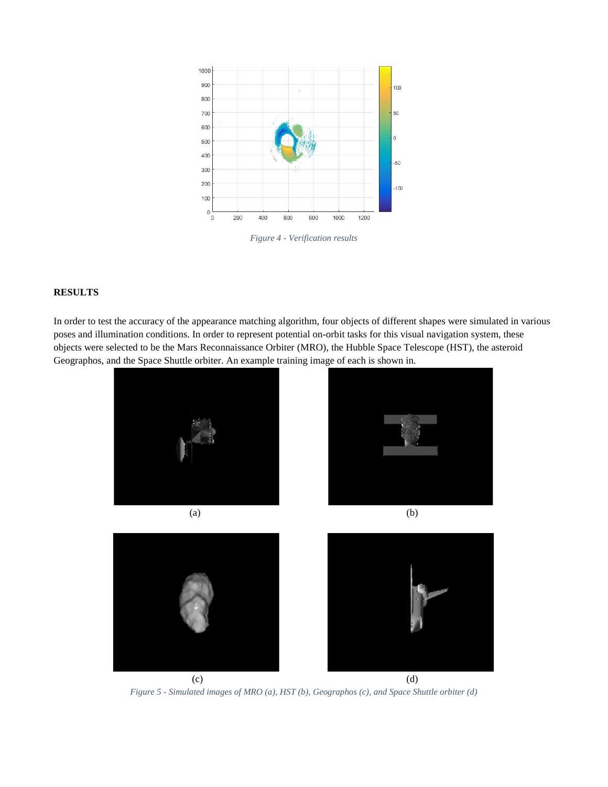

*Figure 4 - Verification results*

# <span id="page-7-0"></span>**RESULTS**

In order to test the accuracy of the appearance matching algorithm, four objects of different shapes were simulated in various poses and illumination conditions. In order to represent potential on-orbit tasks for this visual navigation system, these objects were selected to be the Mars Reconnaissance Orbiter (MRO), the Hubble Space Telescope (HST), the asteroid Geographos, and the Space Shuttle orbiter. An example training image of each is shown in.



*Figure 5 - Simulated images of MRO (a), HST (b), Geographos (c), and Space Shuttle orbiter (d)*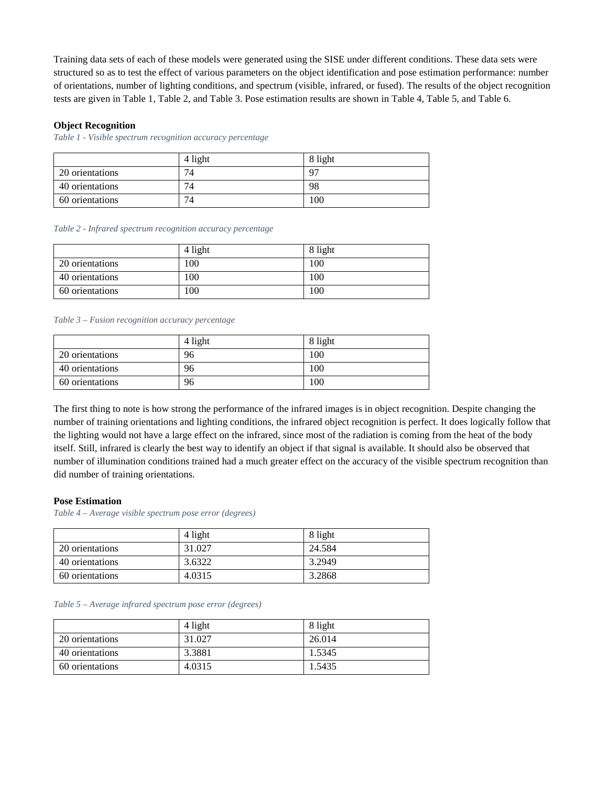Training data sets of each of these models were generated using the SISE under different conditions. These data sets were structured so as to test the effect of various parameters on the object identification and pose estimation performance: number of orientations, number of lighting conditions, and spectrum (visible, infrared, or fused). The results of the object recognition tests are given in [Table 1,](#page-8-0) [Table](#page-8-1) 2, and [Table](#page-8-2) 3. Pose estimation results are shown in Table 4, Table 5, and Table 6.

## **Object Recognition**

<span id="page-8-0"></span>*Table 1 - Visible spectrum recognition accuracy percentage*

|                 | 4 light | 8 light |
|-----------------|---------|---------|
| 20 orientations | 74      | Q7      |
| 40 orientations | 74      | 98      |
| 60 orientations | 74      | 100     |

#### <span id="page-8-1"></span>*Table 2 - Infrared spectrum recognition accuracy percentage*

|                 | 4 light | 8 light |
|-----------------|---------|---------|
| 20 orientations | 100     | 100     |
| 40 orientations | 100     | 100     |
| 60 orientations | 100     | 100     |

#### <span id="page-8-2"></span>*Table 3 – Fusion recognition accuracy percentage*

|                 | 4 light | 8 light |
|-----------------|---------|---------|
| 20 orientations | 96      | 100     |
| 40 orientations | 96      | 100     |
| 60 orientations | 96      | 100     |

The first thing to note is how strong the performance of the infrared images is in object recognition. Despite changing the number of training orientations and lighting conditions, the infrared object recognition is perfect. It does logically follow that the lighting would not have a large effect on the infrared, since most of the radiation is coming from the heat of the body itself. Still, infrared is clearly the best way to identify an object if that signal is available. It should also be observed that number of illumination conditions trained had a much greater effect on the accuracy of the visible spectrum recognition than did number of training orientations.

#### **Pose Estimation**

*Table 4 – Average visible spectrum pose error (degrees)*

|                 | 4 light | 8 light |
|-----------------|---------|---------|
| 20 orientations | 31.027  | 24.584  |
| 40 orientations | 3.6322  | 3.2949  |
| 60 orientations | 4.0315  | 3.2868  |

#### *Table 5 – Average infrared spectrum pose error (degrees)*

|                 | 4 light | 8 light |
|-----------------|---------|---------|
| 20 orientations | 31.027  | 26.014  |
| 40 orientations | 3.3881  | 1.5345  |
| 60 orientations | 4.0315  | 1.5435  |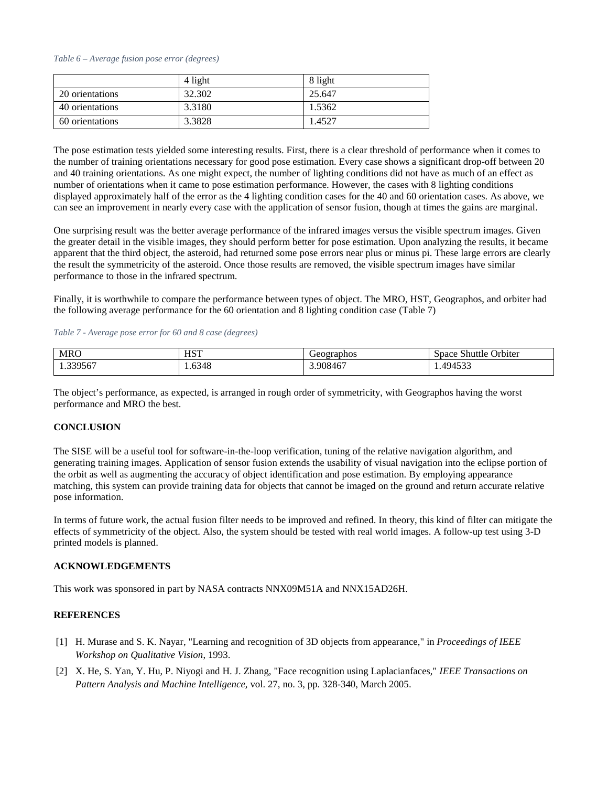#### *Table 6 – Average fusion pose error (degrees)*

|                 | 4 light | 8 light |
|-----------------|---------|---------|
| 20 orientations | 32.302  | 25.647  |
| 40 orientations | 3.3180  | 1.5362  |
| 60 orientations | 3.3828  | 1.4527  |

The pose estimation tests yielded some interesting results. First, there is a clear threshold of performance when it comes to the number of training orientations necessary for good pose estimation. Every case shows a significant drop-off between 20 and 40 training orientations. As one might expect, the number of lighting conditions did not have as much of an effect as number of orientations when it came to pose estimation performance. However, the cases with 8 lighting conditions displayed approximately half of the error as the 4 lighting condition cases for the 40 and 60 orientation cases. As above, we can see an improvement in nearly every case with the application of sensor fusion, though at times the gains are marginal.

One surprising result was the better average performance of the infrared images versus the visible spectrum images. Given the greater detail in the visible images, they should perform better for pose estimation. Upon analyzing the results, it became apparent that the third object, the asteroid, had returned some pose errors near plus or minus pi. These large errors are clearly the result the symmetricity of the asteroid. Once those results are removed, the visible spectrum images have similar performance to those in the infrared spectrum.

Finally, it is worthwhile to compare the performance between types of object. The MRO, HST, Geographos, and orbiter had the following average performance for the 60 orientation and 8 lighting condition case (Table 7)

*Table 7 - Average pose error for 60 and 8 case (degrees)*

| <b>MRO</b>        | <b>HST</b> | Geographos | Jrbiter<br>Shuttle<br>Space |
|-------------------|------------|------------|-----------------------------|
| 339567<br>1.33956 | 1.6348     | 3.908467   | 10.1522<br>19453.           |

The object's performance, as expected, is arranged in rough order of symmetricity, with Geographos having the worst performance and MRO the best.

# **CONCLUSION**

The SISE will be a useful tool for software-in-the-loop verification, tuning of the relative navigation algorithm, and generating training images. Application of sensor fusion extends the usability of visual navigation into the eclipse portion of the orbit as well as augmenting the accuracy of object identification and pose estimation. By employing appearance matching, this system can provide training data for objects that cannot be imaged on the ground and return accurate relative pose information.

In terms of future work, the actual fusion filter needs to be improved and refined. In theory, this kind of filter can mitigate the effects of symmetricity of the object. Also, the system should be tested with real world images. A follow-up test using 3-D printed models is planned.

## **ACKNOWLEDGEMENTS**

This work was sponsored in part by NASA contracts NNX09M51A and NNX15AD26H.

## **REFERENCES**

- [1] H. Murase and S. K. Nayar, "Learning and recognition of 3D objects from appearance," in *Proceedings of IEEE Workshop on Qualitative Vision*, 1993.
- [2] X. He, S. Yan, Y. Hu, P. Niyogi and H. J. Zhang, "Face recognition using Laplacianfaces," *IEEE Transactions on Pattern Analysis and Machine Intelligence,* vol. 27, no. 3, pp. 328-340, March 2005.